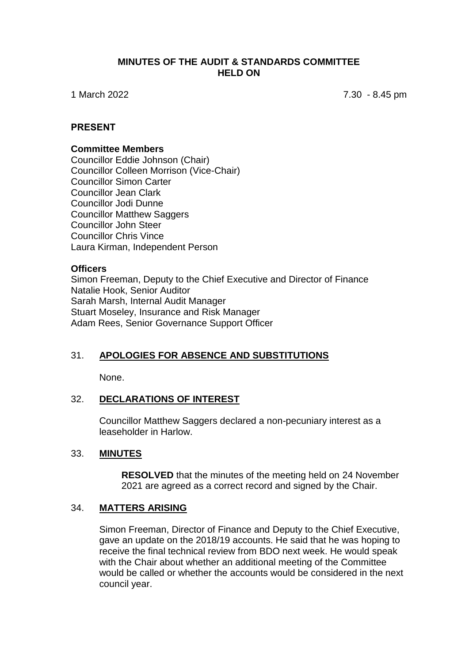### **MINUTES OF THE AUDIT & STANDARDS COMMITTEE HELD ON**

1 March 2022 7.30 - 8.45 pm

### **PRESENT**

#### **Committee Members**

Councillor Eddie Johnson (Chair) Councillor Colleen Morrison (Vice-Chair) Councillor Simon Carter Councillor Jean Clark Councillor Jodi Dunne Councillor Matthew Saggers Councillor John Steer Councillor Chris Vince Laura Kirman, Independent Person

#### **Officers**

Simon Freeman, Deputy to the Chief Executive and Director of Finance Natalie Hook, Senior Auditor Sarah Marsh, Internal Audit Manager Stuart Moseley, Insurance and Risk Manager Adam Rees, Senior Governance Support Officer

## 31. **APOLOGIES FOR ABSENCE AND SUBSTITUTIONS**

None.

### 32. **DECLARATIONS OF INTEREST**

Councillor Matthew Saggers declared a non-pecuniary interest as a leaseholder in Harlow.

### 33. **MINUTES**

**RESOLVED** that the minutes of the meeting held on 24 November 2021 are agreed as a correct record and signed by the Chair.

### 34. **MATTERS ARISING**

Simon Freeman, Director of Finance and Deputy to the Chief Executive, gave an update on the 2018/19 accounts. He said that he was hoping to receive the final technical review from BDO next week. He would speak with the Chair about whether an additional meeting of the Committee would be called or whether the accounts would be considered in the next council year.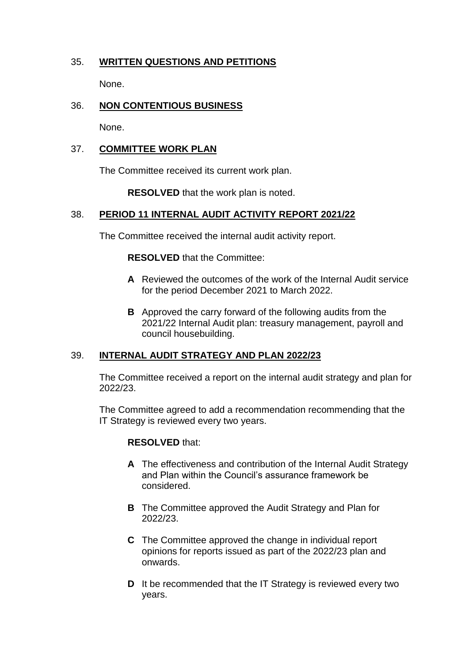# 35. **WRITTEN QUESTIONS AND PETITIONS**

None.

# 36. **NON CONTENTIOUS BUSINESS**

None.

## 37. **COMMITTEE WORK PLAN**

The Committee received its current work plan.

**RESOLVED** that the work plan is noted.

## 38. **PERIOD 11 INTERNAL AUDIT ACTIVITY REPORT 2021/22**

The Committee received the internal audit activity report.

**RESOLVED** that the Committee:

- **A** Reviewed the outcomes of the work of the Internal Audit service for the period December 2021 to March 2022.
- **B** Approved the carry forward of the following audits from the 2021/22 Internal Audit plan: treasury management, payroll and council housebuilding.

# 39. **INTERNAL AUDIT STRATEGY AND PLAN 2022/23**

The Committee received a report on the internal audit strategy and plan for 2022/23.

The Committee agreed to add a recommendation recommending that the IT Strategy is reviewed every two years.

## **RESOLVED** that:

- **A** The effectiveness and contribution of the Internal Audit Strategy and Plan within the Council's assurance framework be considered.
- **B** The Committee approved the Audit Strategy and Plan for 2022/23.
- **C** The Committee approved the change in individual report opinions for reports issued as part of the 2022/23 plan and onwards.
- **D** It be recommended that the IT Strategy is reviewed every two years.